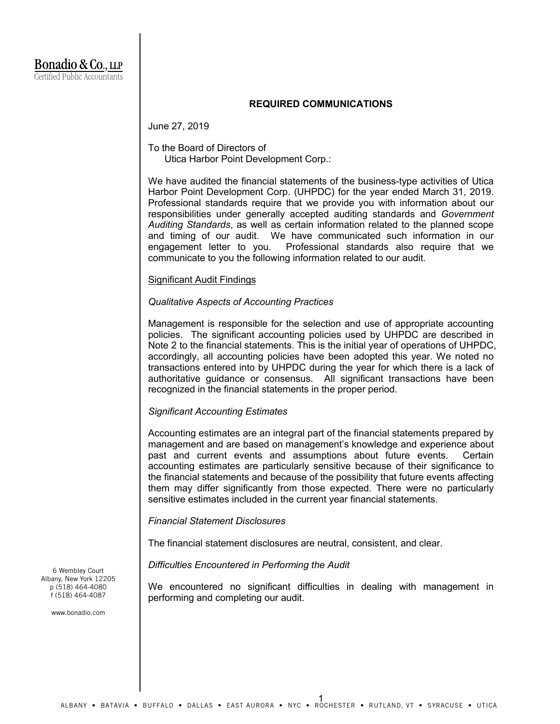## **REQUIRED COMMUNICATIONS**

June 27, 2019

# To the Board of Directors of Utica Harbor Point Development Corp.:

We have audited the financial statements of the business-type activities of Utica Harbor Point Development Corp. (UHPDC) for the year ended March 31, 2019. Professional standards require that we provide you with information about our responsibilities under generally accepted auditing standards and *Government Auditing Standards*, as well as certain information related to the planned scope and timing of our audit. We have communicated such information in our engagement letter to you. Professional standards also require that we communicate to you the following information related to our audit.

## Significant Audit Findings

## *Qualitative Aspects of Accounting Practices*

Management is responsible for the selection and use of appropriate accounting policies. The significant accounting policies used by UHPDC are described in Note 2 to the financial statements. This is the initial year of operations of UHPDC, accordingly, all accounting policies have been adopted this year. We noted no transactions entered into by UHPDC during the year for which there is a lack of authoritative guidance or consensus. All significant transactions have been recognized in the financial statements in the proper period.

## *Significant Accounting Estimates*

Accounting estimates are an integral part of the financial statements prepared by management and are based on management's knowledge and experience about past and current events and assumptions about future events. Certain accounting estimates are particularly sensitive because of their significance to the financial statements and because of the possibility that future events affecting them may differ significantly from those expected. There were no particularly sensitive estimates included in the current year financial statements.

## *Financial Statement Disclosures*

The financial statement disclosures are neutral, consistent, and clear.

*Difficulties Encountered in Performing the Audit*

We encountered no significant difficulties in dealing with management in performing and completing our audit.

6 Wembley Court Albany, New York 12205 p (518) 464-4080 f (518) 464-4087

www.bonadio.com